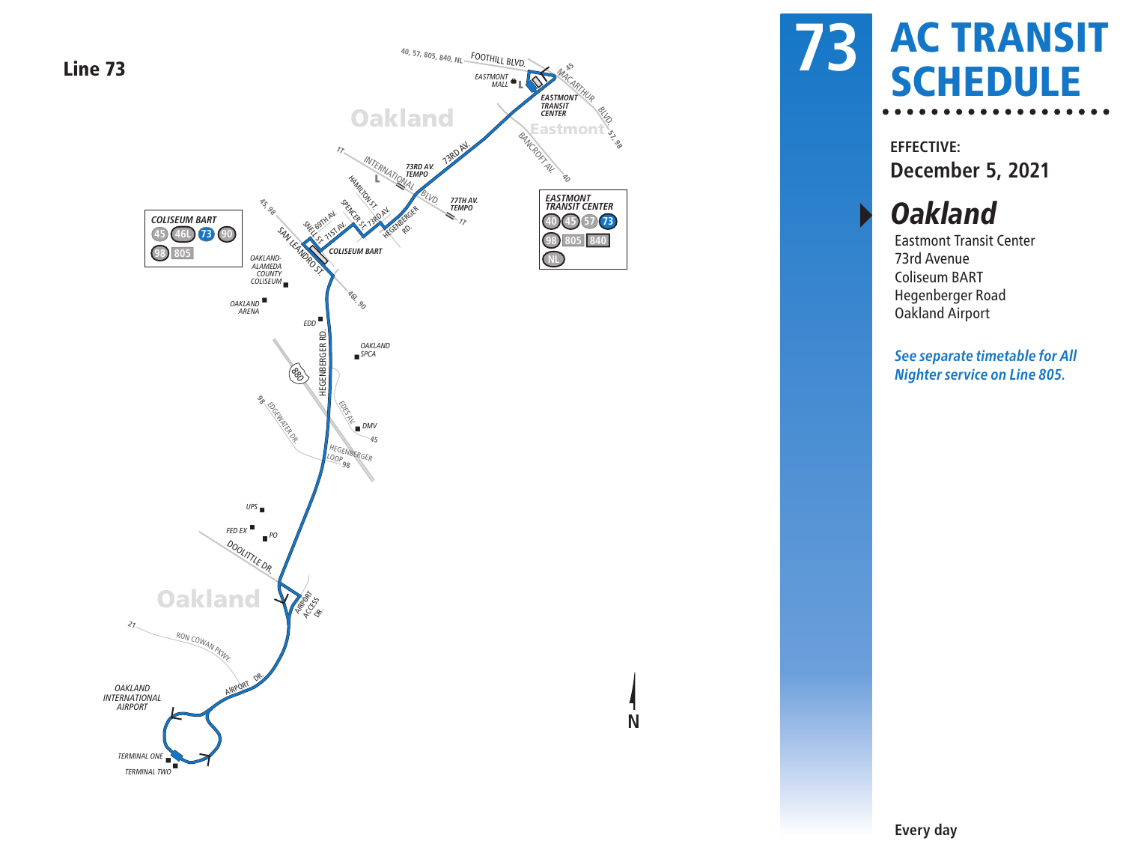

# AC TRANSIT SCHEDULE **73**

**EFFECTIVE: December 5, 2021**

**Oakland** 

Eastmont Transit Center 73rd Avenue Coliseum BART Hegenberger Road Oakland Airport

**See separate timetable for All Nighter service on Line 805.**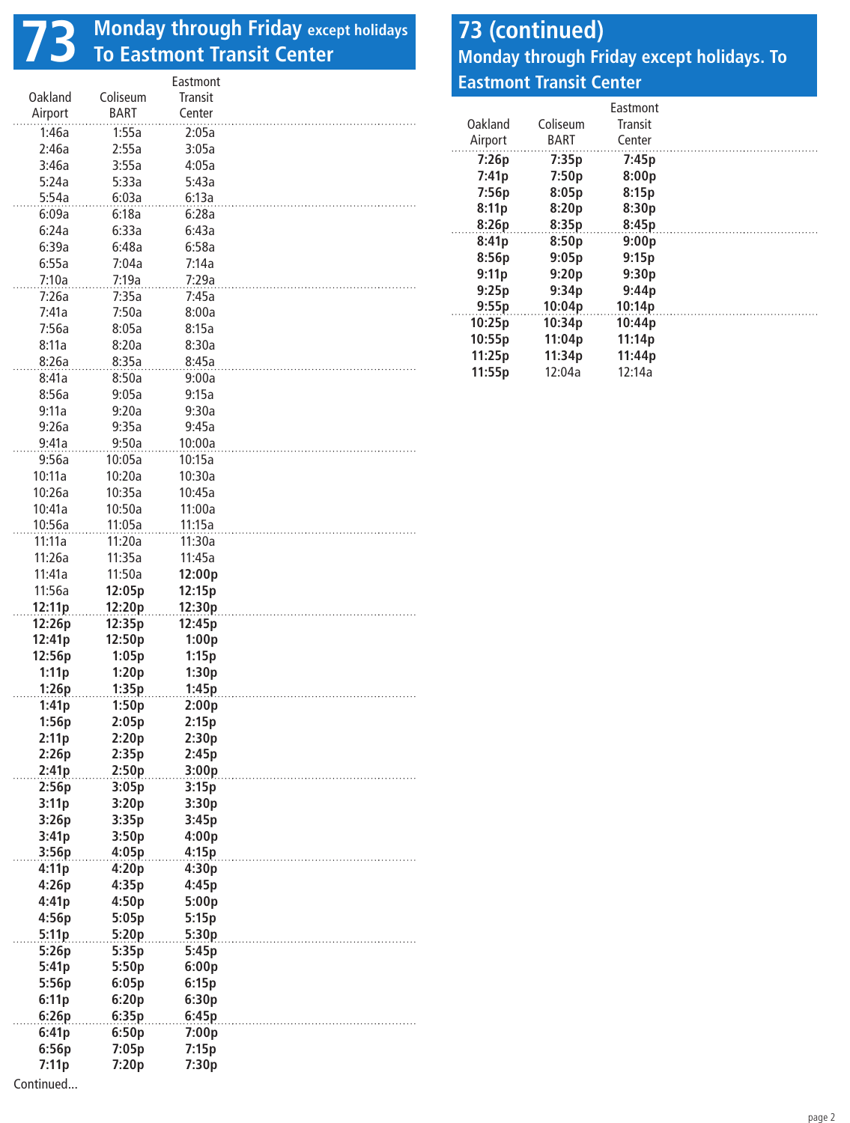## **73 Monday through Friday except holidays To Eastmont Transit Center**

|                |          | Eastmont |  |
|----------------|----------|----------|--|
| <b>Oakland</b> | Coliseum | Transit  |  |
| Airport        | BART     | Center   |  |
| 1:46a          | 1:55a    | 2:05a    |  |
| 2:46a          | 2:55a    | 3:05a    |  |
| 3:46a          | 3:55a    | 4:05a    |  |
|                |          |          |  |
| 5:24a          | 5:33a    | 5:43a    |  |
| 5:54a          | 6:03a    | 6:13a    |  |
| 6:09a          | 6:18a    | 6:28a    |  |
| 6:24a          | 6:33a    | 6:43a    |  |
| 6:39a          | 6:48a    | 6:58a    |  |
| 6:55a          | 7:04a    | 7:14a    |  |
| 7:10a          | 7:19a    | 7:29a    |  |
| 7:26a          | 7:35a    | 7:45a    |  |
| 7:41a          | 7:50a    | 8:00a    |  |
| 7:56a          | 8:05a    | 8:15a    |  |
| 8:11a          | 8:20a    | 8:30a    |  |
| 8:26a          | 8:35a    | 8:45a    |  |
| 8:41a          | 8:50a    | 9:00a    |  |
| 8:56a          | 9:05a    | 9:15a    |  |
|                |          |          |  |
| 9:11a          | 9:20a    | 9:30a    |  |
| 9:26a          | 9:35a    | 9:45a    |  |
| 9:41a          | 9:50a    | 10:00a   |  |
| 9:56a          | 10:05a   | 10:15a   |  |
| 10:11a         | 10:20a   | 10:30a   |  |
| 10:26a         | 10:35a   | 10:45a   |  |
| 10:41a         | 10:50a   | 11:00a   |  |
| 10:56a         | 11:05a   | 11:15a   |  |
| 11:11a         | 11:20a   | 11:30a   |  |
| 11:26a         | 11:35a   | 11:45a   |  |
| 11:41a         | 11:50a   | 12:00p   |  |
| 11:56a         | 12:05p   | 12:15p   |  |
|                |          |          |  |
|                |          |          |  |
| 12:11p         | 12:20p   | 12:30p   |  |
| 12:26p         | 12:35p   | 12:45p   |  |
| 12:41p         | 12:50p   | 1:00p    |  |
| 12:56p         | 1:05p    | 1:15p    |  |
| 1:11p          | 1:20p    | 1:30p    |  |
| 1:26p          | 1:35p    | 1:45p    |  |
| 1:41p          | 1:50p    | 2:00p    |  |
| 1:56p          | 2:05p    | 2:15p    |  |
| 2:11p          | 2:20p    | 2:30p    |  |
| 2:26p          | 2:35p    | 2:45p    |  |
| 2:41p          | 2:50p    | 3:00p    |  |
| 2:56p          | 3:05p    | 3:15p    |  |
| 3:11p          | 3:20p    | 3:30p    |  |
| 3:26p          | 3:35p    | 3:45p    |  |
|                |          |          |  |
| 3:41p          | 3:50p    | 4:00p    |  |
| 3:56p          | 4:05p    | 4:15p    |  |
| 4:11p          | 4:20p    | 4:30p    |  |
| 4:26p          | 4:35p    | 4:45p    |  |
| 4:41p          | 4:50p    | 5:00p    |  |
| 4:56p          | 5:05p    | 5:15p    |  |
| 5:11p          | 5:20p    | 5:30p    |  |
| 5:26p          | 5:35p    | 5:45p    |  |
| 5:41p          | 5:50p    | 6:00p    |  |
| 5:56p          | 6:05p    | 6:15p    |  |
| 6:11p          | 6:20p    | 6:30p    |  |
| 6:26p          | 6:35p    | 6:45p    |  |
| 6:41p          | 6:50p    | 7:00p    |  |
| 6:56p          | 7:05p    | 7:15p    |  |
| 7:11p          | 7:20p    | 7:30p    |  |

#### **73 (continued) Monday through Friday except holidays. To Eastmont Transit Center**

| Oakland<br>Airport | Coliseum<br><b>BART</b> | Fastmont<br>Transit<br>Center |  |
|--------------------|-------------------------|-------------------------------|--|
| 7:26p              | 7:35p                   | 7:45p                         |  |
| 7:41p              | 7:50p                   | 8:00p                         |  |
| 7:56p              | 8:05p                   | 8:15p                         |  |
| 8:11p              | 8:20p                   | 8:30p                         |  |
| 8:26p              | 8:35p                   | 8:45p                         |  |
| 8:41p              | 8:50p                   | 9:00p                         |  |
| 8:56p              | 9:05p                   | 9:15p                         |  |
| 9:11p              | 9:20p                   | 9:30p                         |  |
| 9:25p              | 9:34p                   | 9:44p                         |  |
| 9:55p              | 10:04p                  | 10:14p                        |  |
| 10:25p             | 10:34p                  | 10:44p                        |  |
| 10:55p             | 11:04p                  | 11:14p                        |  |
| 11:25p             | 11:34p                  | 11:44p                        |  |
| 11:55p             | 12:04a                  | 12:14a                        |  |

Continued...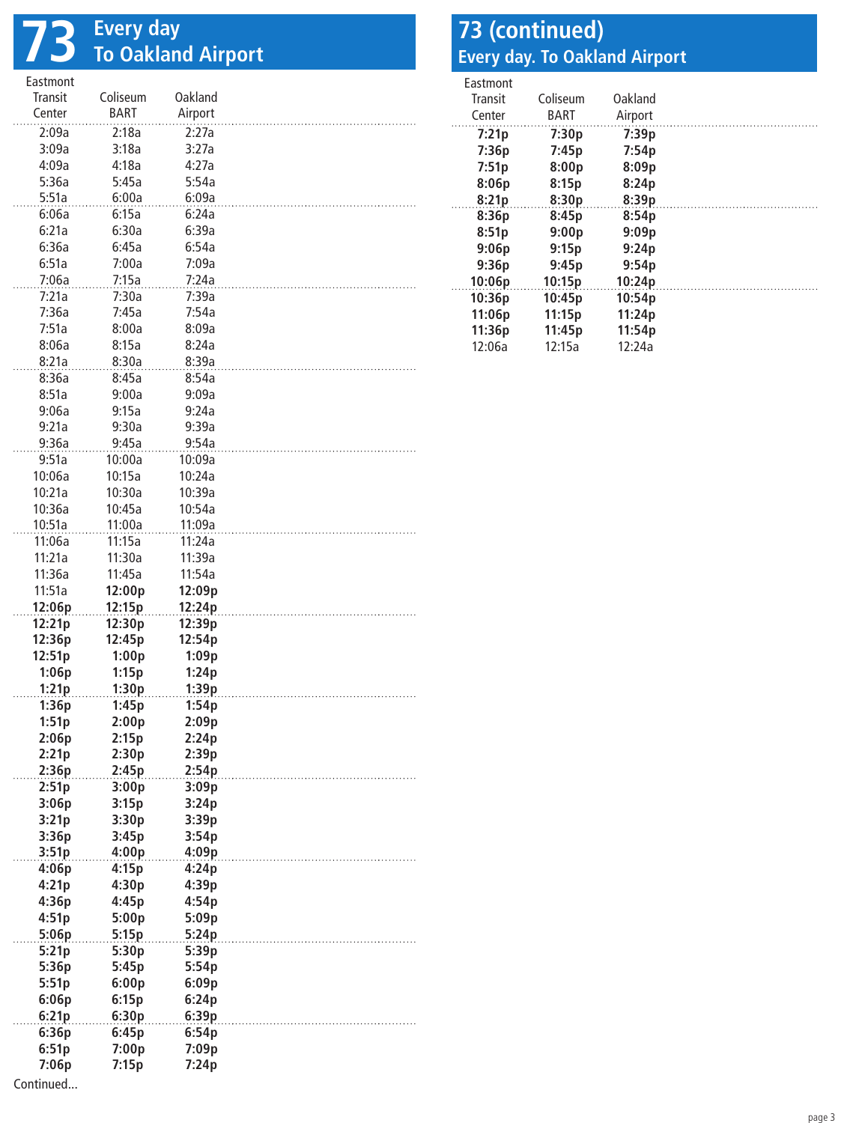## **73 Every day To Oakland Airport**

| Eastmont       |                |                |  |
|----------------|----------------|----------------|--|
| Transit        | Coliseum       | Oakland        |  |
| Center         | <b>BART</b>    | Airport        |  |
| 2:09a          | 2:18a          | 2:27a          |  |
| 3:09a          | 3:18a          | 3:27a          |  |
| 4:09a          | 4:18a          | 4:27a          |  |
| 5:36a          | 5:45a          | 5:54a          |  |
| 5:51a          | 6:00a          | 6:09a          |  |
| 6:06a          | 6:15a          |                |  |
|                |                | 6:24a          |  |
| 6:21a          | 6:30a          | 6:39a          |  |
| 6:36a          | 6:45a          | 6:54a          |  |
| 6:51a          | 7:00a          | 7:09a          |  |
| 7:06a          | 7:15a          | 7:24a          |  |
| 7:21a          | 7:30a          | 7:39a          |  |
| 7:36a          | 7:45a          | 7:54a          |  |
| 7:51a          | 8:00a          | 8:09a          |  |
| 8:06a          | 8:15a          | 8:24a          |  |
| 8:21a          | 8:30a          | 8:39a          |  |
| 8:36a          | 8:45a          | 8:54a          |  |
| 8:51a          | 9:00a          | 9:09a          |  |
| 9:06a          | 9:15a          | 9:24a          |  |
| 9:21a          | 9:30a          | 9:39a          |  |
|                |                |                |  |
| 9:36a          | 9:45a          | 9:54a          |  |
| 9:51a          | 10:00a         | 10:09a         |  |
| 10:06a         | 10:15a         | 10:24a         |  |
| 10:21a         | 10:30a         | 10:39a         |  |
| 10:36a         | 10:45a         | 10:54a         |  |
| 10:51a         | 11:00a         | 11:09a         |  |
| 11:06a         | 11:15a         | 11:24a         |  |
| 11:21a         | 11:30a         | 11:39a         |  |
| 11:36a         | 11:45a         | 11:54a         |  |
| 11:51a         | 12:00p         | 12:09p         |  |
|                |                |                |  |
|                |                |                |  |
| 12:06p         | 12:15p         | 12:24p         |  |
| 12:21p         | 12:30p         | 12:39p         |  |
| 12:36p         | 12:45p         | 12:54p         |  |
| 12:51p         | 1:00p          | 1:09p          |  |
| 1:06p          | 1:15p          | 1:24p          |  |
| 1:21p          | 1:30p          | 1:39p          |  |
| 1:36p          | 1:45p          | 1:54p          |  |
| 1:51p          | 2:00p          | 2:09p          |  |
| 2:06p          | 2:15p          | 2:24p          |  |
| 2:21p          | 2:30p          | 2:39p          |  |
| 2:36p          | 2:45p          | 2:54p          |  |
| 2:51p          | 3:00p          | 3:09p          |  |
| 3:06p          | 3:15p          | 3:24p          |  |
| 3:21p          | 3:30p          | 3:39p          |  |
| 3:36p          | 3:45p          | 3:54p          |  |
| 3:51p          | 4:00p          | 4:09p          |  |
| 4:06p          | 4:15p          | 4:24p          |  |
| 4:21p          | 4:30p          | 4:39p          |  |
| 4:36p          | 4:45p          | 4:54p          |  |
| 4:51p          |                | 5:09p          |  |
|                | 5:00p          |                |  |
| 5:06p          | 5:15p          | 5:24p          |  |
| 5:21p          | 5:30p          | 5:39p          |  |
| 5:36p          | 5:45p          | 5:54p          |  |
| 5:51p          | 6:00p          | 6:09p          |  |
| 6:06p          | 6:15p          | 6:24p          |  |
| 6:21p          | 6:30p          | 6:39p          |  |
| 6:36p          | 6:45p          | 6:54p          |  |
| 6:51p<br>7:06p | 7:00p<br>7:15p | 7:09p<br>7:24p |  |

#### **73 (continued) Every day. To Oakland Airport**

| Fastmont |          |         |  |
|----------|----------|---------|--|
| Transit  | Coliseum | Oakland |  |
| Center   | BART     | Airport |  |
| 7:21p    | 7:30p    | 7:39p   |  |
| 7:36p    | 7:45p    | 7:54p   |  |
| 7:51p    | 8:00p    | 8:09p   |  |
| 8:06p    | 8:15p    | 8:24p   |  |
| 8:21p    | 8:30p    | 8:39p   |  |
| 8:36p    | 8:45p    | 8:54p   |  |
| 8:51p    | 9:00p    | 9:09p   |  |
| 9:06p    | 9:15p    | 9:24p   |  |
| 9:36p    | 9:45p    | 9:54p   |  |
| 10:06p   | 10:15p   | 10:24p  |  |
| 10:36p   | 10:45p   | 10:54p  |  |
| 11:06p   | 11:15p   | 11:24p  |  |
| 11:36p   | 11:45p   | 11:54p  |  |
| 12:06a   | 12:15a   | 12:24a  |  |

Continued...